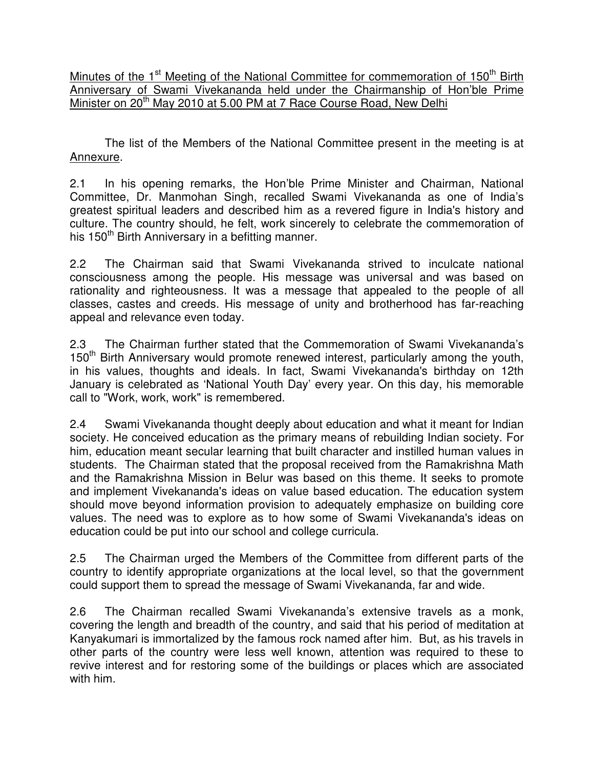Minutes of the 1<sup>st</sup> Meeting of the National Committee for commemoration of 150<sup>th</sup> Birth Anniversary of Swami Vivekananda held under the Chairmanship of Hon'ble Prime Minister on 20<sup>th</sup> May 2010 at 5.00 PM at 7 Race Course Road, New Delhi

The list of the Members of the National Committee present in the meeting is at Annexure.

2.1 In his opening remarks, the Hon'ble Prime Minister and Chairman, National Committee, Dr. Manmohan Singh, recalled Swami Vivekananda as one of India's greatest spiritual leaders and described him as a revered figure in India's history and culture. The country should, he felt, work sincerely to celebrate the commemoration of his 150<sup>th</sup> Birth Anniversary in a befitting manner.

2.2 The Chairman said that Swami Vivekananda strived to inculcate national consciousness among the people. His message was universal and was based on rationality and righteousness. It was a message that appealed to the people of all classes, castes and creeds. His message of unity and brotherhood has far-reaching appeal and relevance even today.

2.3 The Chairman further stated that the Commemoration of Swami Vivekananda's 150<sup>th</sup> Birth Anniversary would promote renewed interest, particularly among the youth, in his values, thoughts and ideals. In fact, Swami Vivekananda's birthday on 12th January is celebrated as 'National Youth Day' every year. On this day, his memorable call to "Work, work, work" is remembered.

2.4 Swami Vivekananda thought deeply about education and what it meant for Indian society. He conceived education as the primary means of rebuilding Indian society. For him, education meant secular learning that built character and instilled human values in students. The Chairman stated that the proposal received from the Ramakrishna Math and the Ramakrishna Mission in Belur was based on this theme. It seeks to promote and implement Vivekananda's ideas on value based education. The education system should move beyond information provision to adequately emphasize on building core values. The need was to explore as to how some of Swami Vivekananda's ideas on education could be put into our school and college curricula.

2.5 The Chairman urged the Members of the Committee from different parts of the country to identify appropriate organizations at the local level, so that the government could support them to spread the message of Swami Vivekananda, far and wide.

2.6 The Chairman recalled Swami Vivekananda's extensive travels as a monk, covering the length and breadth of the country, and said that his period of meditation at Kanyakumari is immortalized by the famous rock named after him. But, as his travels in other parts of the country were less well known, attention was required to these to revive interest and for restoring some of the buildings or places which are associated with him.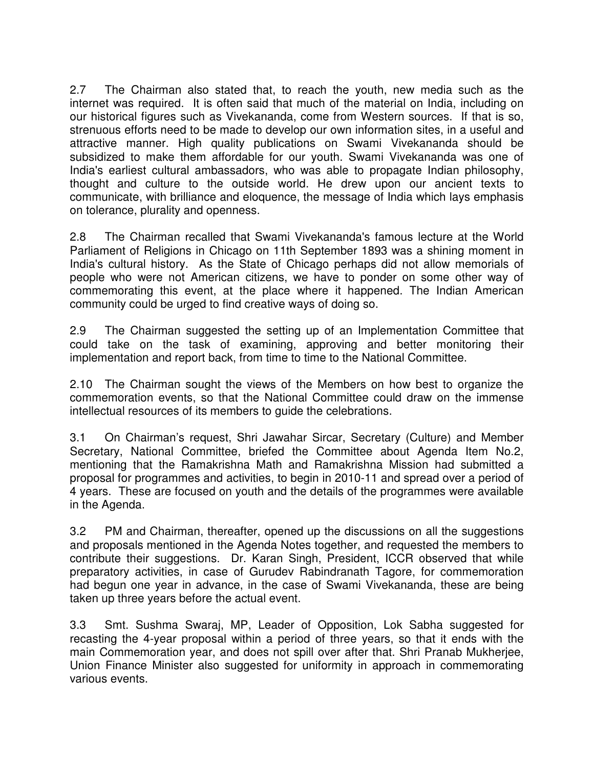2.7 The Chairman also stated that, to reach the youth, new media such as the internet was required. It is often said that much of the material on India, including on our historical figures such as Vivekananda, come from Western sources. If that is so, strenuous efforts need to be made to develop our own information sites, in a useful and attractive manner. High quality publications on Swami Vivekananda should be subsidized to make them affordable for our youth. Swami Vivekananda was one of India's earliest cultural ambassadors, who was able to propagate Indian philosophy, thought and culture to the outside world. He drew upon our ancient texts to communicate, with brilliance and eloquence, the message of India which lays emphasis on tolerance, plurality and openness.

2.8 The Chairman recalled that Swami Vivekananda's famous lecture at the World Parliament of Religions in Chicago on 11th September 1893 was a shining moment in India's cultural history. As the State of Chicago perhaps did not allow memorials of people who were not American citizens, we have to ponder on some other way of commemorating this event, at the place where it happened. The Indian American community could be urged to find creative ways of doing so.

2.9 The Chairman suggested the setting up of an Implementation Committee that could take on the task of examining, approving and better monitoring their implementation and report back, from time to time to the National Committee.

2.10 The Chairman sought the views of the Members on how best to organize the commemoration events, so that the National Committee could draw on the immense intellectual resources of its members to guide the celebrations.

3.1 On Chairman's request, Shri Jawahar Sircar, Secretary (Culture) and Member Secretary, National Committee, briefed the Committee about Agenda Item No.2, mentioning that the Ramakrishna Math and Ramakrishna Mission had submitted a proposal for programmes and activities, to begin in 2010-11 and spread over a period of 4 years. These are focused on youth and the details of the programmes were available in the Agenda.

3.2 PM and Chairman, thereafter, opened up the discussions on all the suggestions and proposals mentioned in the Agenda Notes together, and requested the members to contribute their suggestions. Dr. Karan Singh, President, ICCR observed that while preparatory activities, in case of Gurudev Rabindranath Tagore, for commemoration had begun one year in advance, in the case of Swami Vivekananda, these are being taken up three years before the actual event.

3.3 Smt. Sushma Swaraj, MP, Leader of Opposition, Lok Sabha suggested for recasting the 4-year proposal within a period of three years, so that it ends with the main Commemoration year, and does not spill over after that. Shri Pranab Mukherjee, Union Finance Minister also suggested for uniformity in approach in commemorating various events.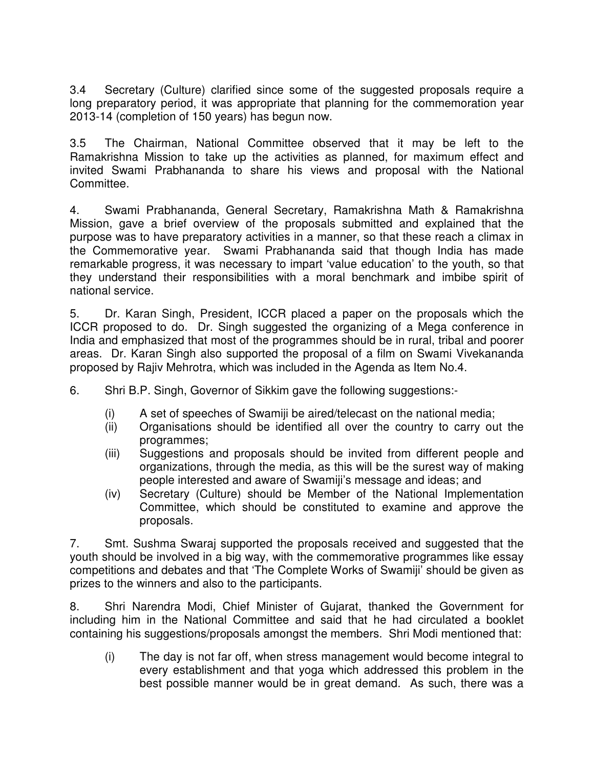3.4 Secretary (Culture) clarified since some of the suggested proposals require a long preparatory period, it was appropriate that planning for the commemoration year 2013-14 (completion of 150 years) has begun now.

3.5 The Chairman, National Committee observed that it may be left to the Ramakrishna Mission to take up the activities as planned, for maximum effect and invited Swami Prabhananda to share his views and proposal with the National Committee.

4. Swami Prabhananda, General Secretary, Ramakrishna Math & Ramakrishna Mission, gave a brief overview of the proposals submitted and explained that the purpose was to have preparatory activities in a manner, so that these reach a climax in the Commemorative year. Swami Prabhananda said that though India has made remarkable progress, it was necessary to impart 'value education' to the youth, so that they understand their responsibilities with a moral benchmark and imbibe spirit of national service.

5. Dr. Karan Singh, President, ICCR placed a paper on the proposals which the ICCR proposed to do. Dr. Singh suggested the organizing of a Mega conference in India and emphasized that most of the programmes should be in rural, tribal and poorer areas. Dr. Karan Singh also supported the proposal of a film on Swami Vivekananda proposed by Rajiv Mehrotra, which was included in the Agenda as Item No.4.

6. Shri B.P. Singh, Governor of Sikkim gave the following suggestions:-

- (i) A set of speeches of Swamiji be aired/telecast on the national media;
- (ii) Organisations should be identified all over the country to carry out the programmes;
- (iii) Suggestions and proposals should be invited from different people and organizations, through the media, as this will be the surest way of making people interested and aware of Swamiji's message and ideas; and
- (iv) Secretary (Culture) should be Member of the National Implementation Committee, which should be constituted to examine and approve the proposals.

7. Smt. Sushma Swaraj supported the proposals received and suggested that the youth should be involved in a big way, with the commemorative programmes like essay competitions and debates and that 'The Complete Works of Swamiji' should be given as prizes to the winners and also to the participants.

8. Shri Narendra Modi, Chief Minister of Gujarat, thanked the Government for including him in the National Committee and said that he had circulated a booklet containing his suggestions/proposals amongst the members. Shri Modi mentioned that:

(i) The day is not far off, when stress management would become integral to every establishment and that yoga which addressed this problem in the best possible manner would be in great demand. As such, there was a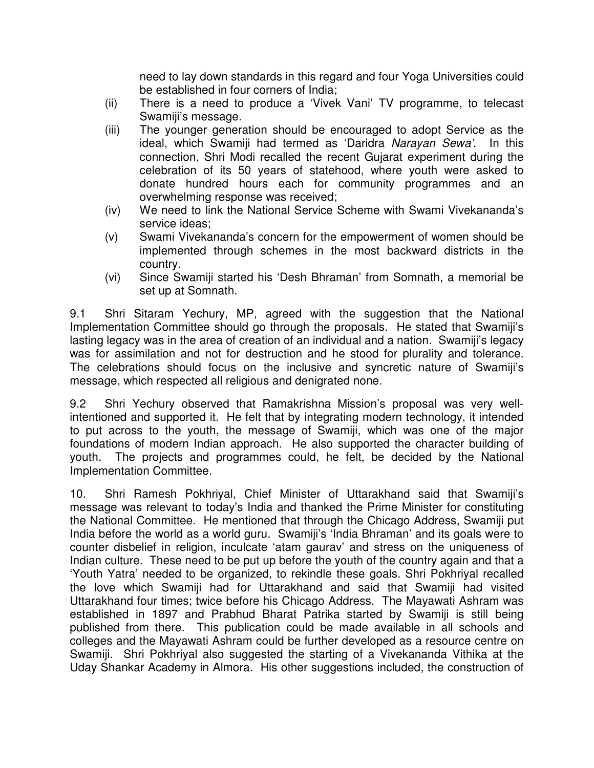need to lay down standards in this regard and four Yoga Universities could be established in four corners of India;

- (ii) There is a need to produce a 'Vivek Vani' TV programme, to telecast Swamiji's message.
- (iii) The younger generation should be encouraged to adopt Service as the ideal, which Swamiji had termed as 'Daridra Narayan Sewa'. In this connection, Shri Modi recalled the recent Gujarat experiment during the celebration of its 50 years of statehood, where youth were asked to donate hundred hours each for community programmes and an overwhelming response was received;
- (iv) We need to link the National Service Scheme with Swami Vivekananda's service ideas;
- (v) Swami Vivekananda's concern for the empowerment of women should be implemented through schemes in the most backward districts in the country.
- (vi) Since Swamiji started his 'Desh Bhraman' from Somnath, a memorial be set up at Somnath.

9.1 Shri Sitaram Yechury, MP, agreed with the suggestion that the National Implementation Committee should go through the proposals. He stated that Swamiji's lasting legacy was in the area of creation of an individual and a nation. Swamiji's legacy was for assimilation and not for destruction and he stood for plurality and tolerance. The celebrations should focus on the inclusive and syncretic nature of Swamiji's message, which respected all religious and denigrated none.

9.2 Shri Yechury observed that Ramakrishna Mission's proposal was very wellintentioned and supported it. He felt that by integrating modern technology, it intended to put across to the youth, the message of Swamiji, which was one of the major foundations of modern Indian approach. He also supported the character building of youth. The projects and programmes could, he felt, be decided by the National Implementation Committee.

10. Shri Ramesh Pokhriyal, Chief Minister of Uttarakhand said that Swamiji's message was relevant to today's India and thanked the Prime Minister for constituting the National Committee. He mentioned that through the Chicago Address, Swamiji put India before the world as a world guru. Swamiji's 'India Bhraman' and its goals were to counter disbelief in religion, inculcate 'atam gaurav' and stress on the uniqueness of Indian culture. These need to be put up before the youth of the country again and that a 'Youth Yatra' needed to be organized, to rekindle these goals. Shri Pokhriyal recalled the love which Swamiji had for Uttarakhand and said that Swamiji had visited Uttarakhand four times; twice before his Chicago Address. The Mayawati Ashram was established in 1897 and Prabhud Bharat Patrika started by Swamiji is still being published from there. This publication could be made available in all schools and colleges and the Mayawati Ashram could be further developed as a resource centre on Swamiji. Shri Pokhriyal also suggested the starting of a Vivekananda Vithika at the Uday Shankar Academy in Almora. His other suggestions included, the construction of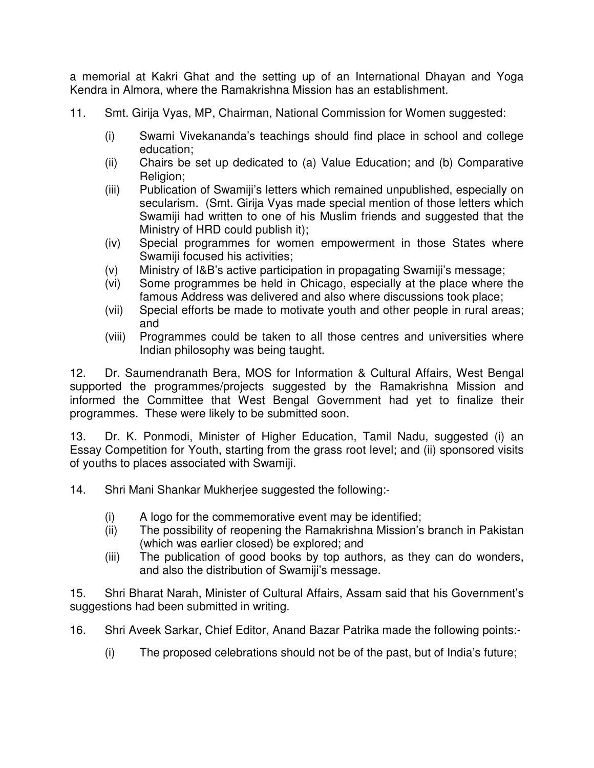a memorial at Kakri Ghat and the setting up of an International Dhayan and Yoga Kendra in Almora, where the Ramakrishna Mission has an establishment.

- 11. Smt. Girija Vyas, MP, Chairman, National Commission for Women suggested:
	- (i) Swami Vivekananda's teachings should find place in school and college education;
	- (ii) Chairs be set up dedicated to (a) Value Education; and (b) Comparative Religion:
	- (iii) Publication of Swamiji's letters which remained unpublished, especially on secularism. (Smt. Girija Vyas made special mention of those letters which Swamiji had written to one of his Muslim friends and suggested that the Ministry of HRD could publish it);
	- (iv) Special programmes for women empowerment in those States where Swamiji focused his activities;
	- (v) Ministry of I&B's active participation in propagating Swamiji's message;
	- (vi) Some programmes be held in Chicago, especially at the place where the famous Address was delivered and also where discussions took place;
	- (vii) Special efforts be made to motivate youth and other people in rural areas; and
	- (viii) Programmes could be taken to all those centres and universities where Indian philosophy was being taught.

12. Dr. Saumendranath Bera, MOS for Information & Cultural Affairs, West Bengal supported the programmes/projects suggested by the Ramakrishna Mission and informed the Committee that West Bengal Government had yet to finalize their programmes. These were likely to be submitted soon.

13. Dr. K. Ponmodi, Minister of Higher Education, Tamil Nadu, suggested (i) an Essay Competition for Youth, starting from the grass root level; and (ii) sponsored visits of youths to places associated with Swamiji.

14. Shri Mani Shankar Mukherjee suggested the following:-

- (i) A logo for the commemorative event may be identified;
- (ii) The possibility of reopening the Ramakrishna Mission's branch in Pakistan (which was earlier closed) be explored; and
- (iii) The publication of good books by top authors, as they can do wonders, and also the distribution of Swamiji's message.

15. Shri Bharat Narah, Minister of Cultural Affairs, Assam said that his Government's suggestions had been submitted in writing.

16. Shri Aveek Sarkar, Chief Editor, Anand Bazar Patrika made the following points:-

(i) The proposed celebrations should not be of the past, but of India's future;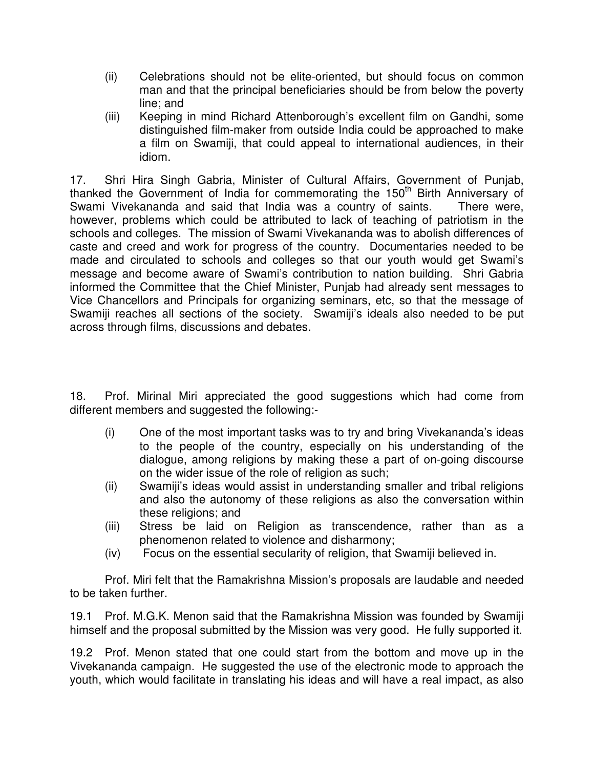- (ii) Celebrations should not be elite-oriented, but should focus on common man and that the principal beneficiaries should be from below the poverty line; and
- (iii) Keeping in mind Richard Attenborough's excellent film on Gandhi, some distinguished film-maker from outside India could be approached to make a film on Swamiji, that could appeal to international audiences, in their idiom.

17. Shri Hira Singh Gabria, Minister of Cultural Affairs, Government of Punjab, thanked the Government of India for commemorating the 150<sup>th</sup> Birth Anniversary of Swami Vivekananda and said that India was a country of saints. There were, however, problems which could be attributed to lack of teaching of patriotism in the schools and colleges. The mission of Swami Vivekananda was to abolish differences of caste and creed and work for progress of the country. Documentaries needed to be made and circulated to schools and colleges so that our youth would get Swami's message and become aware of Swami's contribution to nation building. Shri Gabria informed the Committee that the Chief Minister, Punjab had already sent messages to Vice Chancellors and Principals for organizing seminars, etc, so that the message of Swamiji reaches all sections of the society. Swamiji's ideals also needed to be put across through films, discussions and debates.

18. Prof. Mirinal Miri appreciated the good suggestions which had come from different members and suggested the following:-

- (i) One of the most important tasks was to try and bring Vivekananda's ideas to the people of the country, especially on his understanding of the dialogue, among religions by making these a part of on-going discourse on the wider issue of the role of religion as such;
- (ii) Swamiji's ideas would assist in understanding smaller and tribal religions and also the autonomy of these religions as also the conversation within these religions; and
- (iii) Stress be laid on Religion as transcendence, rather than as a phenomenon related to violence and disharmony;
- (iv) Focus on the essential secularity of religion, that Swamiji believed in.

Prof. Miri felt that the Ramakrishna Mission's proposals are laudable and needed to be taken further.

19.1 Prof. M.G.K. Menon said that the Ramakrishna Mission was founded by Swamiji himself and the proposal submitted by the Mission was very good. He fully supported it.

19.2 Prof. Menon stated that one could start from the bottom and move up in the Vivekananda campaign. He suggested the use of the electronic mode to approach the youth, which would facilitate in translating his ideas and will have a real impact, as also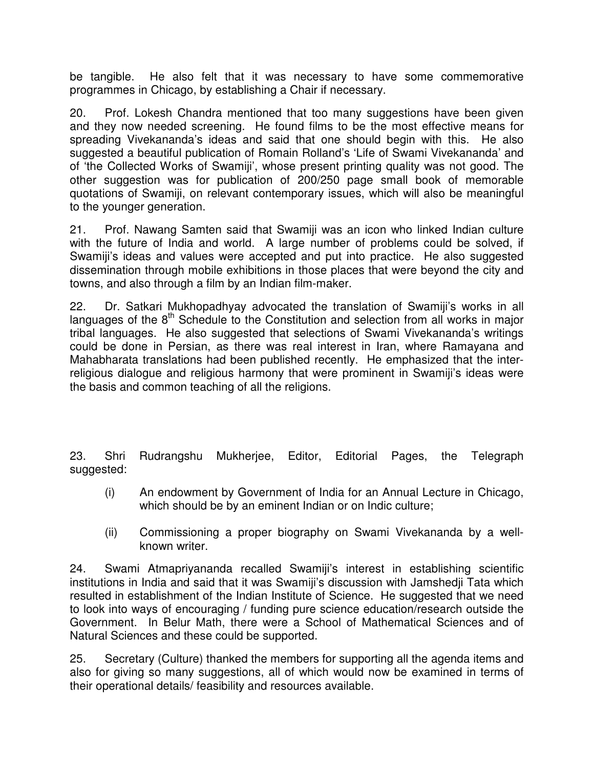be tangible. He also felt that it was necessary to have some commemorative programmes in Chicago, by establishing a Chair if necessary.

20. Prof. Lokesh Chandra mentioned that too many suggestions have been given and they now needed screening. He found films to be the most effective means for spreading Vivekananda's ideas and said that one should begin with this. He also suggested a beautiful publication of Romain Rolland's 'Life of Swami Vivekananda' and of 'the Collected Works of Swamiji', whose present printing quality was not good. The other suggestion was for publication of 200/250 page small book of memorable quotations of Swamiji, on relevant contemporary issues, which will also be meaningful to the younger generation.

21. Prof. Nawang Samten said that Swamiji was an icon who linked Indian culture with the future of India and world. A large number of problems could be solved, if Swamiji's ideas and values were accepted and put into practice. He also suggested dissemination through mobile exhibitions in those places that were beyond the city and towns, and also through a film by an Indian film-maker.

22. Dr. Satkari Mukhopadhyay advocated the translation of Swamiji's works in all languages of the  $8<sup>th</sup>$  Schedule to the Constitution and selection from all works in major tribal languages. He also suggested that selections of Swami Vivekananda's writings could be done in Persian, as there was real interest in Iran, where Ramayana and Mahabharata translations had been published recently. He emphasized that the interreligious dialogue and religious harmony that were prominent in Swamiji's ideas were the basis and common teaching of all the religions.

23. Shri Rudrangshu Mukherjee, Editor, Editorial Pages, the Telegraph suggested:

- (i) An endowment by Government of India for an Annual Lecture in Chicago, which should be by an eminent Indian or on Indic culture;
- (ii) Commissioning a proper biography on Swami Vivekananda by a wellknown writer.

24. Swami Atmapriyananda recalled Swamiji's interest in establishing scientific institutions in India and said that it was Swamiji's discussion with Jamshedji Tata which resulted in establishment of the Indian Institute of Science. He suggested that we need to look into ways of encouraging / funding pure science education/research outside the Government. In Belur Math, there were a School of Mathematical Sciences and of Natural Sciences and these could be supported.

25. Secretary (Culture) thanked the members for supporting all the agenda items and also for giving so many suggestions, all of which would now be examined in terms of their operational details/ feasibility and resources available.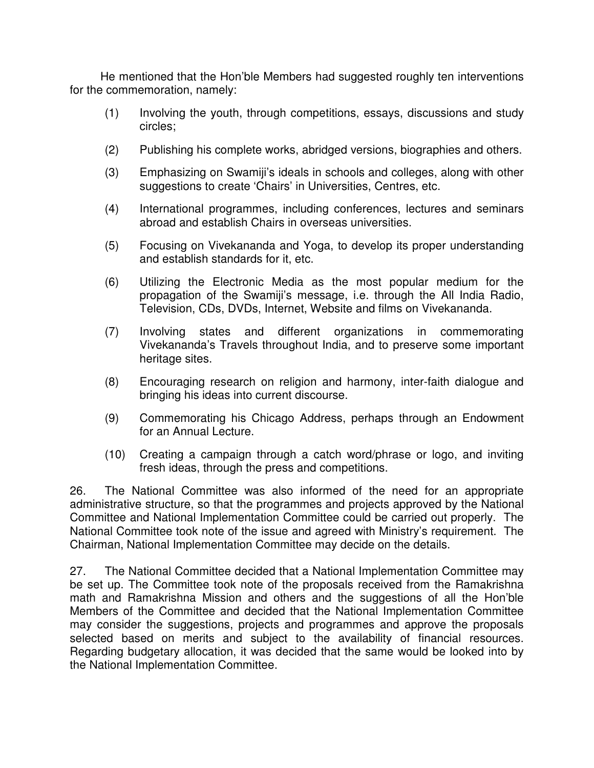He mentioned that the Hon'ble Members had suggested roughly ten interventions for the commemoration, namely:

- (1) Involving the youth, through competitions, essays, discussions and study circles;
- (2) Publishing his complete works, abridged versions, biographies and others.
- (3) Emphasizing on Swamiji's ideals in schools and colleges, along with other suggestions to create 'Chairs' in Universities, Centres, etc.
- (4) International programmes, including conferences, lectures and seminars abroad and establish Chairs in overseas universities.
- (5) Focusing on Vivekananda and Yoga, to develop its proper understanding and establish standards for it, etc.
- (6) Utilizing the Electronic Media as the most popular medium for the propagation of the Swamiji's message, i.e. through the All India Radio, Television, CDs, DVDs, Internet, Website and films on Vivekananda.
- (7) Involving states and different organizations in commemorating Vivekananda's Travels throughout India, and to preserve some important heritage sites.
- (8) Encouraging research on religion and harmony, inter-faith dialogue and bringing his ideas into current discourse.
- (9) Commemorating his Chicago Address, perhaps through an Endowment for an Annual Lecture.
- (10) Creating a campaign through a catch word/phrase or logo, and inviting fresh ideas, through the press and competitions.

26. The National Committee was also informed of the need for an appropriate administrative structure, so that the programmes and projects approved by the National Committee and National Implementation Committee could be carried out properly. The National Committee took note of the issue and agreed with Ministry's requirement. The Chairman, National Implementation Committee may decide on the details.

27. The National Committee decided that a National Implementation Committee may be set up. The Committee took note of the proposals received from the Ramakrishna math and Ramakrishna Mission and others and the suggestions of all the Hon'ble Members of the Committee and decided that the National Implementation Committee may consider the suggestions, projects and programmes and approve the proposals selected based on merits and subject to the availability of financial resources. Regarding budgetary allocation, it was decided that the same would be looked into by the National Implementation Committee.